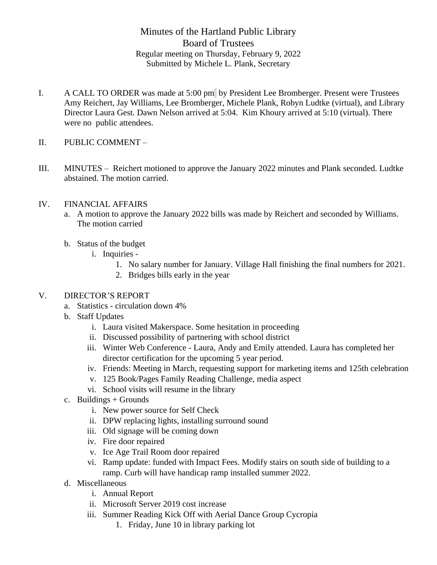Minutes of the Hartland Public Library Board of Trustees Regular meeting on Thursday, February 9, 2022 Submitted by Michele L. Plank, Secretary

- I. A CALL TO ORDER was made at 5:00 pm by President Lee Bromberger. Present were Trustees Amy Reichert, Jay Williams, Lee Bromberger, Michele Plank, Robyn Ludtke (virtual), and Library Director Laura Gest. Dawn Nelson arrived at 5:04. Kim Khoury arrived at 5:10 (virtual). There were no public attendees.
- II. PUBLIC COMMENT –
- III. MINUTES Reichert motioned to approve the January 2022 minutes and Plank seconded. Ludtke abstained. The motion carried.

## IV. FINANCIAL AFFAIRS

- a. A motion to approve the January 2022 bills was made by Reichert and seconded by Williams. The motion carried
- b. Status of the budget
	- i. Inquiries
		- 1. No salary number for January. Village Hall finishing the final numbers for 2021.
		- 2. Bridges bills early in the year

## V. DIRECTOR'S REPORT

- a. Statistics circulation down 4%
- b. Staff Updates
	- i. Laura visited Makerspace. Some hesitation in proceeding
	- ii. Discussed possibility of partnering with school district
	- iii. Winter Web Conference Laura, Andy and Emily attended. Laura has completed her director certification for the upcoming 5 year period.
	- iv. Friends: Meeting in March, requesting support for marketing items and 125th celebration
	- v. 125 Book/Pages Family Reading Challenge, media aspect
	- vi. School visits will resume in the library
- c. Buildings  $+$  Grounds
	- i. New power source for Self Check
	- ii. DPW replacing lights, installing surround sound
	- iii. Old signage will be coming down
	- iv. Fire door repaired
	- v. Ice Age Trail Room door repaired
	- vi. Ramp update: funded with Impact Fees. Modify stairs on south side of building to a ramp. Curb will have handicap ramp installed summer 2022.
- d. Miscellaneous
	- i. Annual Report
	- ii. Microsoft Server 2019 cost increase
	- iii. Summer Reading Kick Off with Aerial Dance Group Cycropia
		- 1. Friday, June 10 in library parking lot